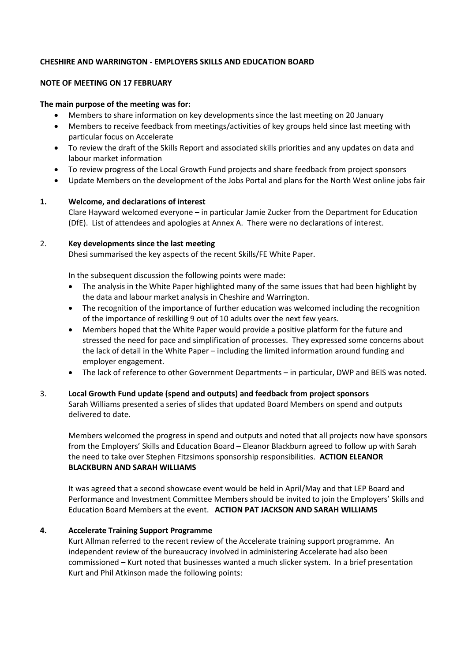#### **CHESHIRE AND WARRINGTON - EMPLOYERS SKILLS AND EDUCATION BOARD**

#### **NOTE OF MEETING ON 17 FEBRUARY**

#### **The main purpose of the meeting was for:**

- Members to share information on key developments since the last meeting on 20 January
- Members to receive feedback from meetings/activities of key groups held since last meeting with particular focus on Accelerate
- To review the draft of the Skills Report and associated skills priorities and any updates on data and labour market information
- To review progress of the Local Growth Fund projects and share feedback from project sponsors
- Update Members on the development of the Jobs Portal and plans for the North West online jobs fair

# **1. Welcome, and declarations of interest**

Clare Hayward welcomed everyone – in particular Jamie Zucker from the Department for Education (DfE). List of attendees and apologies at Annex A. There were no declarations of interest.

#### 2. **Key developments since the last meeting**

Dhesi summarised the key aspects of the recent Skills/FE White Paper.

In the subsequent discussion the following points were made:

- The analysis in the White Paper highlighted many of the same issues that had been highlight by the data and labour market analysis in Cheshire and Warrington.
- The recognition of the importance of further education was welcomed including the recognition of the importance of reskilling 9 out of 10 adults over the next few years.
- Members hoped that the White Paper would provide a positive platform for the future and stressed the need for pace and simplification of processes. They expressed some concerns about the lack of detail in the White Paper – including the limited information around funding and employer engagement.
- The lack of reference to other Government Departments in particular, DWP and BEIS was noted.

#### 3. **Local Growth Fund update (spend and outputs) and feedback from project sponsors** Sarah Williams presented a series of slides that updated Board Members on spend and outputs delivered to date.

Members welcomed the progress in spend and outputs and noted that all projects now have sponsors from the Employers' Skills and Education Board – Eleanor Blackburn agreed to follow up with Sarah the need to take over Stephen Fitzsimons sponsorship responsibilities. **ACTION ELEANOR BLACKBURN AND SARAH WILLIAMS**

It was agreed that a second showcase event would be held in April/May and that LEP Board and Performance and Investment Committee Members should be invited to join the Employers' Skills and Education Board Members at the event. **ACTION PAT JACKSON AND SARAH WILLIAMS**

# **4. Accelerate Training Support Programme**

Kurt Allman referred to the recent review of the Accelerate training support programme. An independent review of the bureaucracy involved in administering Accelerate had also been commissioned – Kurt noted that businesses wanted a much slicker system. In a brief presentation Kurt and Phil Atkinson made the following points: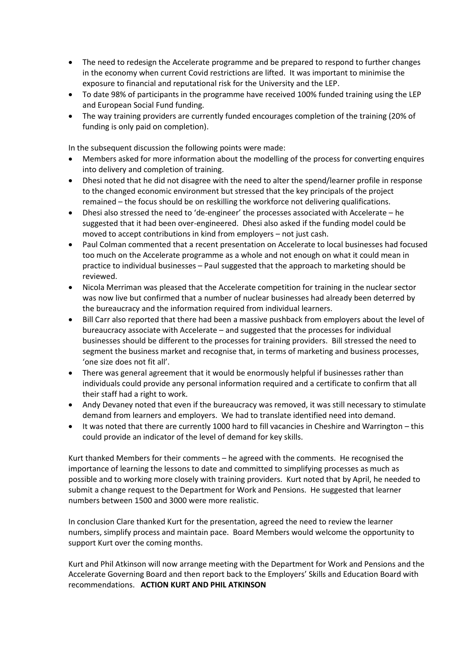- The need to redesign the Accelerate programme and be prepared to respond to further changes in the economy when current Covid restrictions are lifted. It was important to minimise the exposure to financial and reputational risk for the University and the LEP.
- To date 98% of participants in the programme have received 100% funded training using the LEP and European Social Fund funding.
- The way training providers are currently funded encourages completion of the training (20% of funding is only paid on completion).

In the subsequent discussion the following points were made:

- Members asked for more information about the modelling of the process for converting enquires into delivery and completion of training.
- Dhesi noted that he did not disagree with the need to alter the spend/learner profile in response to the changed economic environment but stressed that the key principals of the project remained – the focus should be on reskilling the workforce not delivering qualifications.
- Dhesi also stressed the need to 'de-engineer' the processes associated with Accelerate he suggested that it had been over-engineered. Dhesi also asked if the funding model could be moved to accept contributions in kind from employers – not just cash.
- Paul Colman commented that a recent presentation on Accelerate to local businesses had focused too much on the Accelerate programme as a whole and not enough on what it could mean in practice to individual businesses – Paul suggested that the approach to marketing should be reviewed.
- Nicola Merriman was pleased that the Accelerate competition for training in the nuclear sector was now live but confirmed that a number of nuclear businesses had already been deterred by the bureaucracy and the information required from individual learners.
- Bill Carr also reported that there had been a massive pushback from employers about the level of bureaucracy associate with Accelerate – and suggested that the processes for individual businesses should be different to the processes for training providers. Bill stressed the need to segment the business market and recognise that, in terms of marketing and business processes, 'one size does not fit all'.
- There was general agreement that it would be enormously helpful if businesses rather than individuals could provide any personal information required and a certificate to confirm that all their staff had a right to work.
- Andy Devaney noted that even if the bureaucracy was removed, it was still necessary to stimulate demand from learners and employers. We had to translate identified need into demand.
- It was noted that there are currently 1000 hard to fill vacancies in Cheshire and Warrington this could provide an indicator of the level of demand for key skills.

Kurt thanked Members for their comments – he agreed with the comments. He recognised the importance of learning the lessons to date and committed to simplifying processes as much as possible and to working more closely with training providers. Kurt noted that by April, he needed to submit a change request to the Department for Work and Pensions. He suggested that learner numbers between 1500 and 3000 were more realistic.

In conclusion Clare thanked Kurt for the presentation, agreed the need to review the learner numbers, simplify process and maintain pace. Board Members would welcome the opportunity to support Kurt over the coming months.

Kurt and Phil Atkinson will now arrange meeting with the Department for Work and Pensions and the Accelerate Governing Board and then report back to the Employers' Skills and Education Board with recommendations. **ACTION KURT AND PHIL ATKINSON**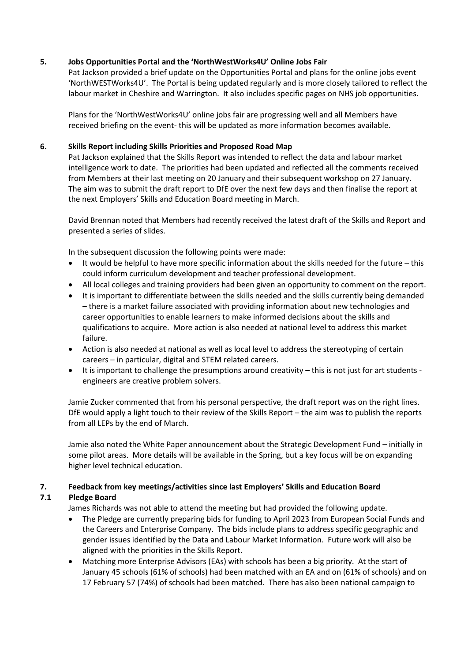#### **5. Jobs Opportunities Portal and the 'NorthWestWorks4U' Online Jobs Fair**

Pat Jackson provided a brief update on the Opportunities Portal and plans for the online jobs event 'NorthWESTWorks4U'. The Portal is being updated regularly and is more closely tailored to reflect the labour market in Cheshire and Warrington. It also includes specific pages on NHS job opportunities.

Plans for the 'NorthWestWorks4U' online jobs fair are progressing well and all Members have received briefing on the event- this will be updated as more information becomes available.

#### **6. Skills Report including Skills Priorities and Proposed Road Map**

Pat Jackson explained that the Skills Report was intended to reflect the data and labour market intelligence work to date. The priorities had been updated and reflected all the comments received from Members at their last meeting on 20 January and their subsequent workshop on 27 January. The aim was to submit the draft report to DfE over the next few days and then finalise the report at the next Employers' Skills and Education Board meeting in March.

David Brennan noted that Members had recently received the latest draft of the Skills and Report and presented a series of slides.

In the subsequent discussion the following points were made:

- It would be helpful to have more specific information about the skills needed for the future this could inform curriculum development and teacher professional development.
- All local colleges and training providers had been given an opportunity to comment on the report.
- It is important to differentiate between the skills needed and the skills currently being demanded – there is a market failure associated with providing information about new technologies and career opportunities to enable learners to make informed decisions about the skills and qualifications to acquire. More action is also needed at national level to address this market failure.
- Action is also needed at national as well as local level to address the stereotyping of certain careers – in particular, digital and STEM related careers.
- It is important to challenge the presumptions around creativity this is not just for art students engineers are creative problem solvers.

Jamie Zucker commented that from his personal perspective, the draft report was on the right lines. DfE would apply a light touch to their review of the Skills Report – the aim was to publish the reports from all LEPs by the end of March.

Jamie also noted the White Paper announcement about the Strategic Development Fund – initially in some pilot areas. More details will be available in the Spring, but a key focus will be on expanding higher level technical education.

# **7. Feedback from key meetings/activities since last Employers' Skills and Education Board**

# **7.1 Pledge Board**

James Richards was not able to attend the meeting but had provided the following update.

- The Pledge are currently preparing bids for funding to April 2023 from European Social Funds and the Careers and Enterprise Company. The bids include plans to address specific geographic and gender issues identified by the Data and Labour Market Information. Future work will also be aligned with the priorities in the Skills Report.
- Matching more Enterprise Advisors (EAs) with schools has been a big priority. At the start of January 45 schools (61% of schools) had been matched with an EA and on (61% of schools) and on 17 February 57 (74%) of schools had been matched. There has also been national campaign to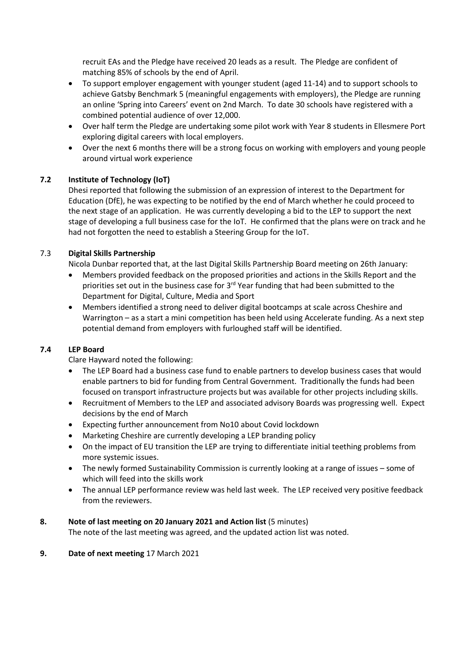recruit EAs and the Pledge have received 20 leads as a result. The Pledge are confident of matching 85% of schools by the end of April.

- To support employer engagement with younger student (aged 11-14) and to support schools to achieve Gatsby Benchmark 5 (meaningful engagements with employers), the Pledge are running an online 'Spring into Careers' event on 2nd March. To date 30 schools have registered with a combined potential audience of over 12,000.
- Over half term the Pledge are undertaking some pilot work with Year 8 students in Ellesmere Port exploring digital careers with local employers.
- Over the next 6 months there will be a strong focus on working with employers and young people around virtual work experience

# **7.2 Institute of Technology (IoT)**

Dhesi reported that following the submission of an expression of interest to the Department for Education (DfE), he was expecting to be notified by the end of March whether he could proceed to the next stage of an application. He was currently developing a bid to the LEP to support the next stage of developing a full business case for the IoT. He confirmed that the plans were on track and he had not forgotten the need to establish a Steering Group for the IoT.

# 7.3 **Digital Skills Partnership**

Nicola Dunbar reported that, at the last Digital Skills Partnership Board meeting on 26th January:

- Members provided feedback on the proposed priorities and actions in the Skills Report and the priorities set out in the business case for  $3<sup>rd</sup>$  Year funding that had been submitted to the Department for Digital, Culture, Media and Sport
- Members identified a strong need to deliver digital bootcamps at scale across Cheshire and Warrington – as a start a mini competition has been held using Accelerate funding. As a next step potential demand from employers with furloughed staff will be identified.

# **7.4 LEP Board**

Clare Hayward noted the following:

- The LEP Board had a business case fund to enable partners to develop business cases that would enable partners to bid for funding from Central Government. Traditionally the funds had been focused on transport infrastructure projects but was available for other projects including skills.
- Recruitment of Members to the LEP and associated advisory Boards was progressing well. Expect decisions by the end of March
- Expecting further announcement from No10 about Covid lockdown
- Marketing Cheshire are currently developing a LEP branding policy
- On the impact of EU transition the LEP are trying to differentiate initial teething problems from more systemic issues.
- The newly formed Sustainability Commission is currently looking at a range of issues some of which will feed into the skills work
- The annual LEP performance review was held last week. The LEP received very positive feedback from the reviewers.

# **8. Note of last meeting on 20 January 2021 and Action list** (5 minutes)

The note of the last meeting was agreed, and the updated action list was noted.

# **9. Date of next meeting** 17 March 2021